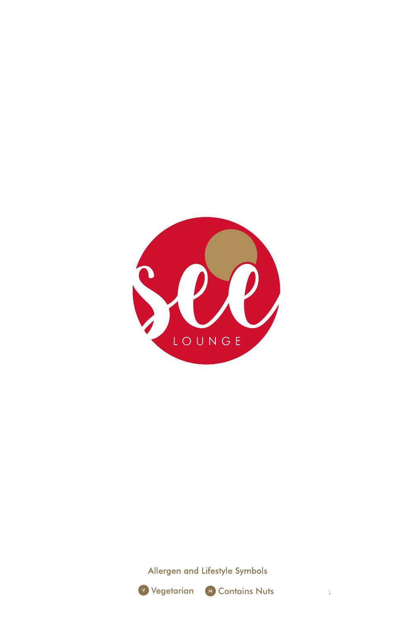

Allergen and Lifestyle Symbols





 $\hat{\tau}$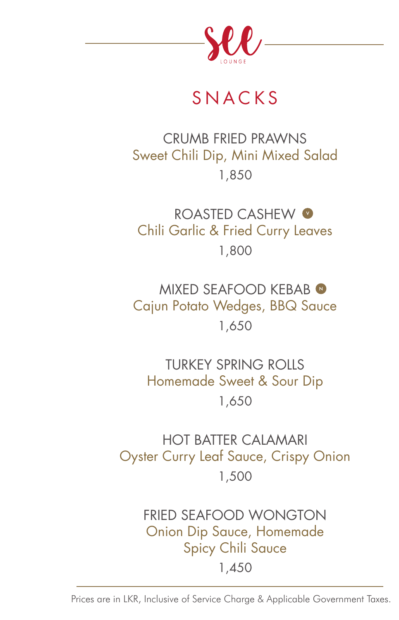

# SNACKS

### CRUMB FRIED PRAWNS Sweet Chili Dip, Mini Mixed Salad 1,850

ROASTED CASHEW <sup>O</sup> Chili Garlic & Fried Curry Leaves 1,800

MIXED SEAFOOD KEBAB Cajun Potato Wedges, BBQ Sauce 1,650

TURKEY SPRING ROLLS Homemade Sweet & Sour Dip 1,650

HOT BATTER CALAMARI Oyster Curry Leaf Sauce, Crispy Onion 1,500

> FRIED SEAFOOD WONGTON Onion Dip Sauce, Homemade Spicy Chili Sauce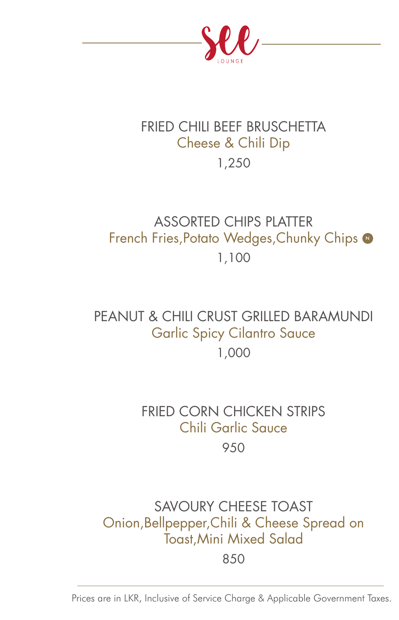

# FRIED CHILI BEEF BRUSCHETTA Cheese & Chili Dip

# 1,250

### ASSORTED CHIPS PLATTER French Fries, Potato Wedges, Chunky Chips @ 1,100

### PEANUT & CHILL CRUST GRILLED BARAMUNDI Garlic Spicy Cilantro Sauce 1,000

#### FRIED CORN CHICKEN STRIPS Chili Garlic Sauce 950

## SAVOURY CHEESE TOAST Onion,Bellpepper,Chili & Cheese Spread on Toast,Mini Mixed Salad

850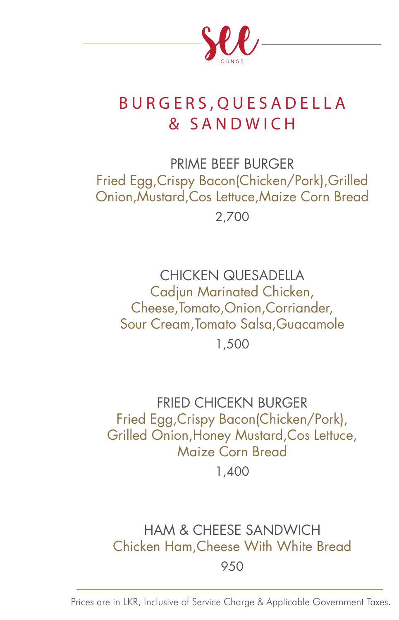

## BURGERS,QUESADELLA & SANDWICH

PRIME BEEF BURGER Fried Egg,Crispy Bacon(Chicken/Pork),Grilled Onion,Mustard,Cos Lettuce,Maize Corn Bread 2,700

CHICKEN QUESADELLA Cadjun Marinated Chicken, Cheese,Tomato,Onion,Corriander, Sour Cream,Tomato Salsa,Guacamole 1,500

FRIED CHICEKN BURGER Fried Egg,Crispy Bacon(Chicken/Pork), Grilled Onion,Honey Mustard,Cos Lettuce, Maize Corn Bread

1,400

#### HAM & CHEESE SANDWICH Chicken Ham,Cheese With White Bread 950